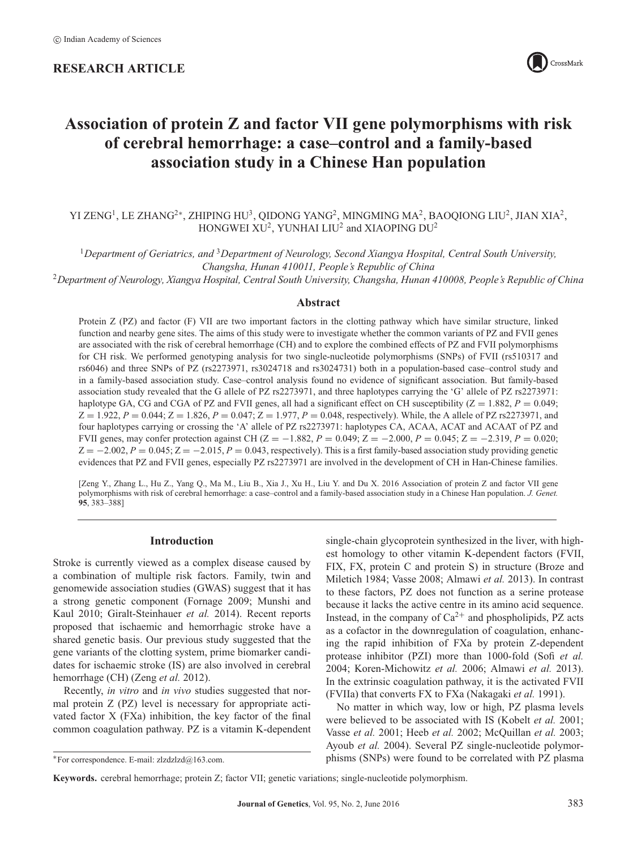# **RESEARCH ARTICLE**



# **Association of protein Z and factor VII gene polymorphisms with risk of cerebral hemorrhage: a case–control and a family-based association study in a Chinese Han population**

# YI ZENG<sup>1</sup>, LE ZHANG<sup>2</sup><sup>∗</sup>, ZHIPING HU<sup>3</sup>, QIDONG YANG<sup>2</sup>, MINGMING MA<sup>2</sup>, BAOQIONG LIU<sup>2</sup>, JIAN XIA<sup>2</sup>, HONGWEI XU<sup>2</sup>, YUNHAI LIU<sup>2</sup> and XIAOPING DU<sup>2</sup>

<sup>1</sup>*Department of Geriatrics, and* <sup>3</sup>*Department of Neurology, Second Xiangya Hospital, Central South University, Changsha, Hunan 410011, People's Republic of China*

<sup>2</sup>*Department of Neurology, Xiangya Hospital, Central South University, Changsha, Hunan 410008, People's Republic of China*

# **Abstract**

Protein Z (PZ) and factor (F) VII are two important factors in the clotting pathway which have similar structure, linked function and nearby gene sites. The aims of this study were to investigate whether the common variants of PZ and FVII genes are associated with the risk of cerebral hemorrhage (CH) and to explore the combined effects of PZ and FVII polymorphisms for CH risk. We performed genotyping analysis for two single-nucleotide polymorphisms (SNPs) of FVII (rs510317 and rs6046) and three SNPs of PZ (rs2273971, rs3024718 and rs3024731) both in a population-based case–control study and in a family-based association study. Case–control analysis found no evidence of significant association. But family-based association study revealed that the G allele of PZ rs2273971, and three haplotypes carrying the 'G' allele of PZ rs2273971: haplotype GA, CG and CGA of PZ and FVII genes, all had a significant effect on CH susceptibility  $(Z = 1.882, P = 0.049;$  $Z = 1.922$ ,  $P = 0.044$ ;  $Z = 1.826$ ,  $P = 0.047$ ;  $Z = 1.977$ ,  $P = 0.048$ , respectively). While, the A allele of PZ rs2273971, and four haplotypes carrying or crossing the 'A' allele of PZ rs2273971: haplotypes CA, ACAA, ACAT and ACAAT of PZ and FVII genes, may confer protection against CH (Z = −1.882, *P* = 0.049; Z = −2.000, *P* = 0.045; Z = −2.319, *P* = 0.020;  $Z = -2.002$ ,  $P = 0.045$ ;  $Z = -2.015$ ,  $P = 0.043$ , respectively). This is a first family-based association study providing genetic evidences that PZ and FVII genes, especially PZ rs2273971 are involved in the development of CH in Han-Chinese families.

[Zeng Y., Zhang L., Hu Z., Yang Q., Ma M., Liu B., Xia J., Xu H., Liu Y. and Du X. 2016 Association of protein Z and factor VII gene polymorphisms with risk of cerebral hemorrhage: a case–control and a family-based association study in a Chinese Han population. *J. Genet.* **95**, 383–388]

# **Introduction**

Stroke is currently viewed as a complex disease caused by a combination of multiple risk factors. Family, twin and genomewide association studies (GWAS) suggest that it has a strong genetic component (Fornage 2009; Munshi and Kaul 2010; Giralt-Steinhauer *et al.* 2014). Recent reports proposed that ischaemic and hemorrhagic stroke have a shared genetic basis. Our previous study suggested that the gene variants of the clotting system, prime biomarker candidates for ischaemic stroke (IS) are also involved in cerebral hemorrhage (CH) (Zeng *et al.* 2012).

Recently, *in vitro* and *in vivo* studies suggested that normal protein Z (PZ) level is necessary for appropriate activated factor X (FXa) inhibition, the key factor of the final common coagulation pathway. PZ is a vitamin K-dependent single-chain glycoprotein synthesized in the liver, with highest homology to other vitamin K-dependent factors (FVII, FIX, FX, protein C and protein S) in structure (Broze and Miletich 1984; Vasse 2008; Almawi *et al.* 2013). In contrast to these factors, PZ does not function as a serine protease because it lacks the active centre in its amino acid sequence. Instead, in the company of  $Ca^{2+}$  and phospholipids, PZ acts as a cofactor in the downregulation of coagulation, enhancing the rapid inhibition of FXa by protein Z-dependent protease inhibitor (PZI) more than 1000-fold (Sofi *et al.* 2004; Koren-Michowitz *et al.* 2006; Almawi *et al.* 2013). In the extrinsic coagulation pathway, it is the activated FVII (FVIIa) that converts FX to FXa (Nakagaki *et al.* 1991).

No matter in which way, low or high, PZ plasma levels were believed to be associated with IS (Kobelt *et al.* 2001; Vasse *et al.* 2001; Heeb *et al.* 2002; McQuillan *et al.* 2003; Ayoub *et al.* 2004). Several PZ single-nucleotide polymorphisms (SNPs) were found to be correlated with PZ plasma

<sup>∗</sup>For correspondence. E-mail: zlzdzlzd@163.com.

**Keywords.** cerebral hemorrhage; protein Z; factor VII; genetic variations; single-nucleotide polymorphism.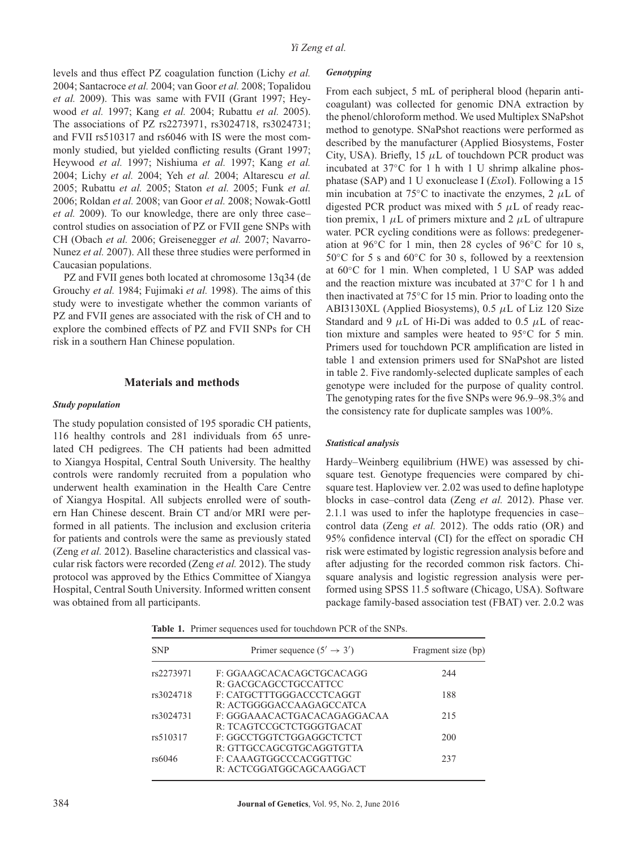levels and thus effect PZ coagulation function (Lichy *et al.* 2004; Santacroce *et al.* 2004; van Goor *et al.* 2008; Topalidou *et al.* 2009). This was same with FVII (Grant 1997; Heywood *et al.* 1997; Kang *et al.* 2004; Rubattu *et al.* 2005). The associations of PZ rs2273971, rs3024718, rs3024731; and FVII rs510317 and rs6046 with IS were the most commonly studied, but yielded conflicting results (Grant 1997; Heywood *et al.* 1997; Nishiuma *et al.* 1997; Kang *et al.* 2004; Lichy *et al.* 2004; Yeh *et al.* 2004; Altarescu *et al.* 2005; Rubattu *et al.* 2005; Staton *et al.* 2005; Funk *et al.* 2006; Roldan *et al.* 2008; van Goor *et al.* 2008; Nowak-Gottl *et al.* 2009). To our knowledge, there are only three case– control studies on association of PZ or FVII gene SNPs with CH (Obach *et al.* 2006; Greisenegger *et al.* 2007; Navarro-Nunez *et al.* 2007). All these three studies were performed in Caucasian populations.

PZ and FVII genes both located at chromosome 13q34 (de Grouchy *et al.* 1984; Fujimaki *et al.* 1998). The aims of this study were to investigate whether the common variants of PZ and FVII genes are associated with the risk of CH and to explore the combined effects of PZ and FVII SNPs for CH risk in a southern Han Chinese population.

#### **Materials and methods**

#### *Study population*

The study population consisted of 195 sporadic CH patients, 116 healthy controls and 281 individuals from 65 unrelated CH pedigrees. The CH patients had been admitted to Xiangya Hospital, Central South University. The healthy controls were randomly recruited from a population who underwent health examination in the Health Care Centre of Xiangya Hospital. All subjects enrolled were of southern Han Chinese descent. Brain CT and/or MRI were performed in all patients. The inclusion and exclusion criteria for patients and controls were the same as previously stated (Zeng *et al.* 2012). Baseline characteristics and classical vascular risk factors were recorded (Zeng *et al.* 2012). The study protocol was approved by the Ethics Committee of Xiangya Hospital, Central South University. Informed written consent was obtained from all participants.

#### *Genotyping*

From each subject, 5 mL of peripheral blood (heparin anticoagulant) was collected for genomic DNA extraction by the phenol/chloroform method. We used Multiplex SNaPshot method to genotype. SNaPshot reactions were performed as described by the manufacturer (Applied Biosystems, Foster City, USA). Briefly, 15 *μ*L of touchdown PCR product was incubated at 37◦C for 1 h with 1 U shrimp alkaline phosphatase (SAP) and 1 U exonuclease I (*Exo*I). Following a 15 min incubation at 75◦C to inactivate the enzymes, 2 *μ*L of digested PCR product was mixed with 5 *μ*L of ready reaction premix, 1 *μ*L of primers mixture and 2 *μ*L of ultrapure water. PCR cycling conditions were as follows: predegeneration at 96◦C for 1 min, then 28 cycles of 96◦C for 10 s, 50◦C for 5 s and 60◦C for 30 s, followed by a reextension at 60◦C for 1 min. When completed, 1 U SAP was added and the reaction mixture was incubated at 37◦C for 1 h and then inactivated at 75◦C for 15 min. Prior to loading onto the ABI3130XL (Applied Biosystems), 0.5 *μ*L of Liz 120 Size Standard and 9 *μ*L of Hi-Di was added to 0.5 *μ*L of reaction mixture and samples were heated to 95◦C for 5 min. Primers used for touchdown PCR amplification are listed in table 1 and extension primers used for SNaPshot are listed in table 2. Five randomly-selected duplicate samples of each genotype were included for the purpose of quality control. The genotyping rates for the five SNPs were 96.9–98.3% and the consistency rate for duplicate samples was 100%.

#### *Statistical analysis*

Hardy–Weinberg equilibrium (HWE) was assessed by chisquare test. Genotype frequencies were compared by chisquare test. Haploview ver. 2.02 was used to define haplotype blocks in case–control data (Zeng *et al.* 2012). Phase ver. 2.1.1 was used to infer the haplotype frequencies in case– control data (Zeng *et al.* 2012). The odds ratio (OR) and 95% confidence interval (CI) for the effect on sporadic CH risk were estimated by logistic regression analysis before and after adjusting for the recorded common risk factors. Chisquare analysis and logistic regression analysis were performed using SPSS 11.5 software (Chicago, USA). Software package family-based association test (FBAT) ver. 2.0.2 was

**Table 1.** Primer sequences used for touchdown PCR of the SNPs.

| <b>SNP</b> | Primer sequence $(5' \rightarrow 3')$ | Fragment size (bp) |  |  |
|------------|---------------------------------------|--------------------|--|--|
| rs2273971  | F: GGAAGCACACAGCTGCACAGG              | 244                |  |  |
|            | R: GACGCAGCCTGCCATTCC                 |                    |  |  |
| rs3024718  | F: CATGCTTTGGGACCCTCAGGT              | 188                |  |  |
|            | R: ACTGGGGACCAAGAGCCATCA              |                    |  |  |
| rs3024731  | F: GGGAAACACTGACACAGAGGACAA           | 215                |  |  |
|            | R: TCAGTCCGCTCTGGGTGACAT              |                    |  |  |
| rs510317   | F: GGCCTGGTCTGGAGGCTCTCT              | 200                |  |  |
|            | R: GTTGCCAGCGTGCAGGTGTTA              |                    |  |  |
| rs6046     | F: CAAAGTGGCCCACGGTTGC                | 237                |  |  |
|            | R: ACTCGGATGGCAGCAAGGACT              |                    |  |  |
|            |                                       |                    |  |  |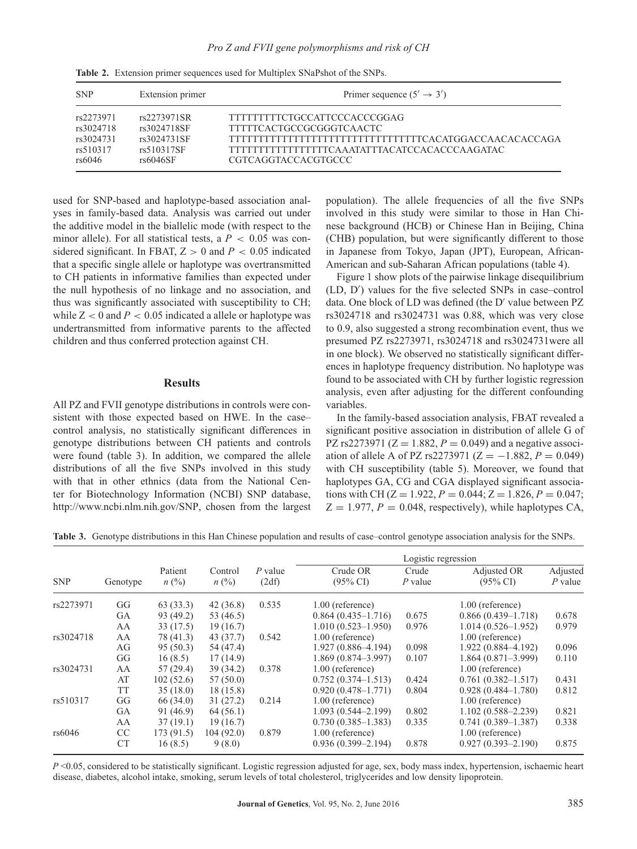| <b>SNP</b> | Extension primer | Primer sequence $(5' \rightarrow 3')$               |
|------------|------------------|-----------------------------------------------------|
| rs2273971  | rs2273971SR      | TTTTTTTTCTGCCATTCCCACCCGGAG                         |
| rs3024718  | rs3024718SF      | TTTTTCACTGCCGCGGGTCAACTC                            |
| rs3024731  | rs3024731SF      | TTTTTTTTTTTTTTTTTTTTTTTTTTTTTTTCACATGGACCAACACCCAGA |
| rs510317   | rs510317SF       | TTTTTTTTTTTTTTTTCAAATATTTACATCCACACCCAAGATAC        |
| rs6046     | rs6046SF         | CGTCAGGTACCACGTGCCC                                 |

used for SNP-based and haplotype-based association analyses in family-based data. Analysis was carried out under the additive model in the biallelic mode (with respect to the minor allele). For all statistical tests, a  $P < 0.05$  was considered significant. In FBAT,  $Z > 0$  and  $P < 0.05$  indicated that a specific single allele or haplotype was overtransmitted to CH patients in informative families than expected under the null hypothesis of no linkage and no association, and thus was significantly associated with susceptibility to CH; while  $Z < 0$  and  $P < 0.05$  indicated a allele or haplotype was undertransmitted from informative parents to the affected children and thus conferred protection against CH.

# **Results**

All PZ and FVII genotype distributions in controls were consistent with those expected based on HWE. In the case– control analysis, no statistically significant differences in genotype distributions between CH patients and controls were found (table 3). In addition, we compared the allele distributions of all the five SNPs involved in this study with that in other ethnics (data from the National Center for Biotechnology Information (NCBI) SNP database, [http://www.ncbi.nlm.nih.gov/SNP,](http://www.ncbi.nlm.nih.gov/SNP) chosen from the largest population). The allele frequencies of all the five SNPs involved in this study were similar to those in Han Chinese background (HCB) or Chinese Han in Beijing, China (CHB) population, but were significantly different to those in Japanese from Tokyo, Japan (JPT), European, African-American and sub-Saharan African populations (table 4).

Figure 1 show plots of the pairwise linkage disequilibrium (LD, D ) values for the five selected SNPs in case–control data. One block of LD was defined (the D' value between PZ rs3024718 and rs3024731 was 0.88, which was very close to 0.9, also suggested a strong recombination event, thus we presumed PZ rs2273971, rs3024718 and rs3024731were all in one block). We observed no statistically significant differences in haplotype frequency distribution. No haplotype was found to be associated with CH by further logistic regression analysis, even after adjusting for the different confounding variables.

In the family-based association analysis, FBAT revealed a significant positive association in distribution of allele G of PZ rs2273971 ( $Z = 1.882, P = 0.049$ ) and a negative association of allele A of PZ rs2273971 ( $Z = -1.882$ ,  $P = 0.049$ ) with CH susceptibility (table 5). Moreover, we found that haplotypes GA, CG and CGA displayed significant associations with CH ( $Z = 1.922$ ,  $P = 0.044$ ;  $Z = 1.826$ ,  $P = 0.047$ ;  $Z = 1.977$ ,  $P = 0.048$ , respectively), while haplotypes CA,

**Table 3.** Genotype distributions in this Han Chinese population and results of case–control genotype association analysis for the SNPs.

| <b>SNP</b> | Genotype      | Patient<br>$n\ (\%)$ | Control<br>$n\ (\%)$ | $P$ value<br>(2df) | Logistic regression             |                  |                                    |                       |  |  |
|------------|---------------|----------------------|----------------------|--------------------|---------------------------------|------------------|------------------------------------|-----------------------|--|--|
|            |               |                      |                      |                    | Crude OR<br>$(95\% \text{ CI})$ | Crude<br>P value | Adjusted OR<br>$(95\% \text{ CI})$ | Adjusted<br>$P$ value |  |  |
| rs2273971  | GG            | 63(33.3)             | 42(36.8)             | 0.535              | $1.00$ (reference)              |                  | $1.00$ (reference)                 |                       |  |  |
|            | GA            | 93 (49.2)            | 53 (46.5)            |                    | $0.864(0.435-1.716)$            | 0.675            | $0.866(0.439-1.718)$               | 0.678                 |  |  |
|            | AA            | 33 (17.5)            | 19(16.7)             |                    | $1.010(0.523 - 1.950)$          | 0.976            | $1.014(0.526-1.952)$               | 0.979                 |  |  |
| rs3024718  | AA            | 78 (41.3)            | 43(37.7)             | 0.542              | $1.00$ (reference)              |                  | 1.00 (reference)                   |                       |  |  |
|            | AG            | 95(50.3)             | 54 (47.4)            |                    | $1.927(0.886 - 4.194)$          | 0.098            | $1.922(0.884 - 4.192)$             | 0.096                 |  |  |
|            | GG            | 16(8.5)              | 17(14.9)             |                    | $1.869(0.874 - 3.997)$          | 0.107            | $1.864(0.871-3.999)$               | 0.110                 |  |  |
| rs3024731  | AA            | 57(29.4)             | 39(34.2)             | 0.378              | 1.00 (reference)                |                  | $1.00$ (reference)                 |                       |  |  |
|            | AT            | 102(52.6)            | 57(50.0)             |                    | $0.752(0.374 - 1.513)$          | 0.424            | $0.761(0.382 - 1.517)$             | 0.431                 |  |  |
|            | TT            | 35(18.0)             | 18(15.8)             |                    | $0.920(0.478 - 1.771)$          | 0.804            | $0.928(0.484 - 1.780)$             | 0.812                 |  |  |
| rs510317   | GG            | 66 (34.0)            | 31(27.2)             | 0.214              | 1.00 (reference)                |                  | $1.00$ (reference)                 |                       |  |  |
|            | GA            | 91(46.9)             | 64(56.1)             |                    | $1.093(0.544 - 2.199)$          | 0.802            | $1.102(0.588 - 2.239)$             | 0.821                 |  |  |
|            | AA            | 37(19.1)             | 19(16.7)             |                    | $0.730(0.385 - 1.383)$          | 0.335            | $0.741(0.389 - 1.387)$             | 0.338                 |  |  |
| rs6046     | <sub>CC</sub> | 173(91.5)            | 104(92.0)            | 0.879              | $1.00$ (reference)              |                  | $1.00$ (reference)                 |                       |  |  |
|            | CT            | 16(8.5)              | 9(8.0)               |                    | $0.936(0.399 - 2.194)$          | 0.878            | $0.927(0.393 - 2.190)$             | 0.875                 |  |  |

*P* <0.05, considered to be statistically significant. Logistic regression adjusted for age, sex, body mass index, hypertension, ischaemic heart disease, diabetes, alcohol intake, smoking, serum levels of total cholesterol, triglycerides and low density lipoprotein.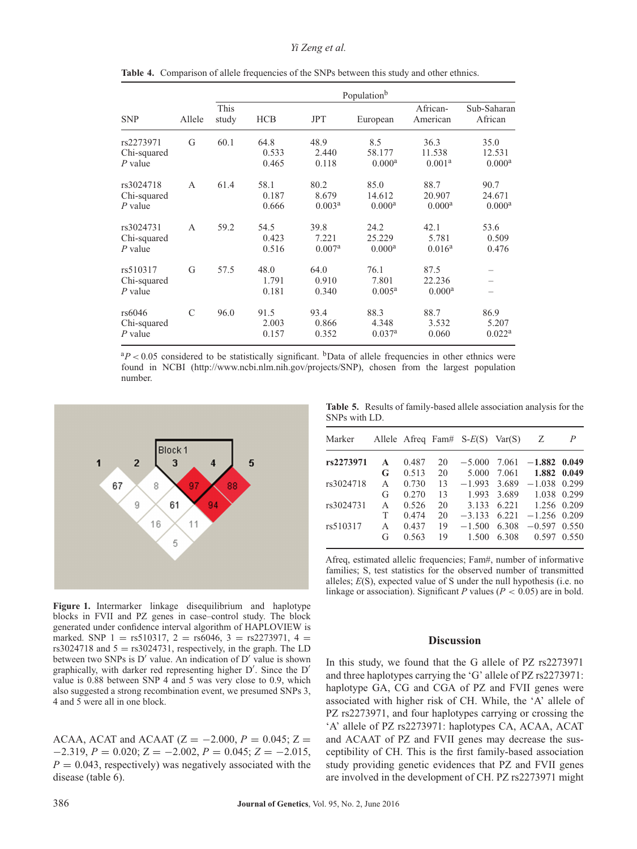## *Yi Zeng et al.*

| <b>SNP</b>                            |               | Population <sup>b</sup> |                        |                                     |                                      |                                      |                                      |  |  |
|---------------------------------------|---------------|-------------------------|------------------------|-------------------------------------|--------------------------------------|--------------------------------------|--------------------------------------|--|--|
|                                       | Allele        | <b>This</b><br>study    | <b>HCB</b>             | <b>JPT</b>                          | European                             | African-<br>American                 | Sub-Saharan<br>African               |  |  |
| rs2273971<br>Chi-squared<br>$P$ value | G             | 60.1                    | 64.8<br>0.533<br>0.465 | 48.9<br>2.440<br>0.118              | 8.5<br>58.177<br>0.000 <sup>a</sup>  | 36.3<br>11.538<br>0.001 <sup>a</sup> | 35.0<br>12.531<br>$0.000^a$          |  |  |
| rs3024718<br>Chi-squared<br>$P$ value | A             | 61.4                    | 58.1<br>0.187<br>0.666 | 80.2<br>8.679<br>0.003 <sup>a</sup> | 85.0<br>14.612<br>0.000 <sup>a</sup> | 88.7<br>20.907<br>0.000 <sup>a</sup> | 90.7<br>24.671<br>0.000 <sup>a</sup> |  |  |
| rs3024731<br>Chi-squared<br>$P$ value | A             | 59.2                    | 54.5<br>0.423<br>0.516 | 39.8<br>7.221<br>0.007 <sup>a</sup> | 24.2<br>25.229<br>$0.000^a$          | 42.1<br>5.781<br>$0.016^a$           | 53.6<br>0.509<br>0.476               |  |  |
| rs510317<br>Chi-squared<br>$P$ value  | G             | 57.5                    | 48.0<br>1.791<br>0.181 | 64.0<br>0.910<br>0.340              | 76.1<br>7.801<br>$0.005^{\rm a}$     | 87.5<br>22.236<br>$0.000^a$          |                                      |  |  |
| rs6046<br>Chi-squared<br>$P$ value    | $\mathcal{C}$ | 96.0                    | 91.5<br>2.003<br>0.157 | 93.4<br>0.866<br>0.352              | 88.3<br>4.348<br>0.037 <sup>a</sup>  | 88.7<br>3.532<br>0.060               | 86.9<br>5.207<br>0.022 <sup>a</sup>  |  |  |

Table 4. Comparison of allele frequencies of the SNPs between this study and other ethnics.

 ${}^{a}P$  < 0.05 considered to be statistically significant. <sup>b</sup>Data of allele frequencies in other ethnics were found in NCBI [\(http://www.ncbi.nlm.nih.gov/projects/SNP\)](http://www.ncbi.nlm.nih.gov/projects/SNP), chosen from the largest population number.



**Table 5.** Results of family-based allele association analysis for the SNPs with LD.

| Marker    |              |       |    | Allele Afreq Fam# $S-E(S)$ | Var(S) | Ζ              | P           |
|-----------|--------------|-------|----|----------------------------|--------|----------------|-------------|
| rs2273971 | $\mathbf{A}$ | 0.487 | 20 | $-5.000$                   | 7.061  | $-1.882$ 0.049 |             |
|           | G            | 0.513 | 20 | 5.000                      | 7.061  |                | 1.882 0.049 |
| rs3024718 | A            | 0.730 | 13 | $-1.993$                   | 3.689  | $-1.038$ 0.299 |             |
|           | G            | 0.270 | 13 | 1.993                      | 3.689  |                | 1.038 0.299 |
| rs3024731 | A            | 0.526 | 20 | 3.133                      | 6.221  | 1.256 0.209    |             |
|           | Т            | 0.474 | 20 | $-3.133$                   | 6.221  | $-1.256$ 0.209 |             |
| rs510317  | A            | 0.437 | 19 | $-1.500$                   | 6.308  | $-0.597$       | 0.550       |
|           | G            | 0.563 | 19 | 1.500                      | 6.308  | 0.597          | 0.550       |

Afreq, estimated allelic frequencies; Fam#, number of informative families; S, test statistics for the observed number of transmitted alleles; *E*(S), expected value of S under the null hypothesis (i.e. no linkage or association). Significant *P* values ( $P < 0.05$ ) are in bold.

# **Discussion**

blocks in FVII and PZ genes in case–control study. The block generated under confidence interval algorithm of HAPLOVIEW is marked. SNP 1 = rs510317, 2 = rs6046, 3 = rs2273971, 4 = rs3024718 and  $5 =$  rs3024731, respectively, in the graph. The LD between two SNPs is  $D'$  value. An indication of  $D'$  value is shown graphically, with darker red representing higher D . Since the D value is 0.88 between SNP 4 and 5 was very close to 0.9, which also suggested a strong recombination event, we presumed SNPs 3, 4 and 5 were all in one block.

**Figure 1.** Intermarker linkage disequilibrium and haplotype

ACAA, ACAT and ACAAT ( $Z = -2.000$ ,  $P = 0.045$ ;  $Z =$  $-2.319, P = 0.020; Z = -2.002, P = 0.045; Z = -2.015,$  $P = 0.043$ , respectively) was negatively associated with the disease (table 6).

In this study, we found that the G allele of PZ rs2273971 and three haplotypes carrying the 'G' allele of PZ rs2273971: haplotype GA, CG and CGA of PZ and FVII genes were associated with higher risk of CH. While, the 'A' allele of PZ rs2273971, and four haplotypes carrying or crossing the 'A' allele of PZ rs2273971: haplotypes CA, ACAA, ACAT and ACAAT of PZ and FVII genes may decrease the susceptibility of CH. This is the first family-based association study providing genetic evidences that PZ and FVII genes are involved in the development of CH. PZ rs2273971 might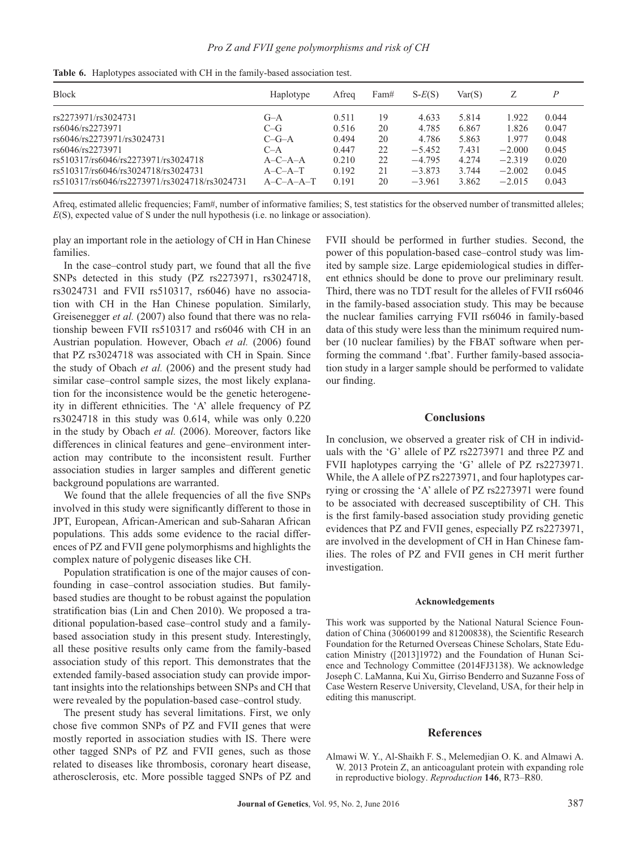| <b>Block</b>                                  | Haplotype           | Afrea | Fam# | $S-E(S)$ | Var(S) |          | P     |
|-----------------------------------------------|---------------------|-------|------|----------|--------|----------|-------|
| rs2273971/rs3024731                           | $G-A$               | 0.511 | 19   | 4.633    | 5.814  | 1.922    | 0.044 |
| rs6046/rs2273971                              | $C-G$               | 0.516 | 20   | 4.785    | 6.867  | 1.826    | 0.047 |
| rs6046/rs2273971/rs3024731                    | $C-G-A$             | 0.494 | 20   | 4.786    | 5.863  | 1.977    | 0.048 |
| rs6046/rs2273971                              | $C-A$               | 0.447 | 22   | $-5.452$ | 7.431  | $-2.000$ | 0.045 |
| rs510317/rs6046/rs2273971/rs3024718           | $A - C - A - A$     | 0.210 | 22   | $-4.795$ | 4.274  | $-2.319$ | 0.020 |
| rs510317/rs6046/rs3024718/rs3024731           | $A - C - A - T$     | 0.192 | 21   | $-3.873$ | 3.744  | $-2.002$ | 0.045 |
| rs510317/rs6046/rs2273971/rs3024718/rs3024731 | $A - C - A - A - T$ | 0.191 | 20   | $-3.961$ | 3.862  | $-2.015$ | 0.043 |

Afreq, estimated allelic frequencies; Fam#, number of informative families; S, test statistics for the observed number of transmitted alleles; *E*(S), expected value of S under the null hypothesis (i.e. no linkage or association).

play an important role in the aetiology of CH in Han Chinese families.

In the case–control study part, we found that all the five SNPs detected in this study (PZ rs2273971, rs3024718, rs3024731 and FVII rs510317, rs6046) have no association with CH in the Han Chinese population. Similarly, Greisenegger *et al.* (2007) also found that there was no relationship beween FVII rs510317 and rs6046 with CH in an Austrian population. However, Obach *et al.* (2006) found that PZ rs3024718 was associated with CH in Spain. Since the study of Obach *et al.* (2006) and the present study had similar case–control sample sizes, the most likely explanation for the inconsistence would be the genetic heterogeneity in different ethnicities. The 'A' allele frequency of PZ rs3024718 in this study was 0.614, while was only 0.220 in the study by Obach *et al.* (2006). Moreover, factors like differences in clinical features and gene–environment interaction may contribute to the inconsistent result. Further association studies in larger samples and different genetic background populations are warranted.

We found that the allele frequencies of all the five SNPs involved in this study were significantly different to those in JPT, European, African-American and sub-Saharan African populations. This adds some evidence to the racial differences of PZ and FVII gene polymorphisms and highlights the complex nature of polygenic diseases like CH.

Population stratification is one of the major causes of confounding in case–control association studies. But familybased studies are thought to be robust against the population stratification bias (Lin and Chen 2010). We proposed a traditional population-based case–control study and a familybased association study in this present study. Interestingly, all these positive results only came from the family-based association study of this report. This demonstrates that the extended family-based association study can provide important insights into the relationships between SNPs and CH that were revealed by the population-based case–control study.

The present study has several limitations. First, we only chose five common SNPs of PZ and FVII genes that were mostly reported in association studies with IS. There were other tagged SNPs of PZ and FVII genes, such as those related to diseases like thrombosis, coronary heart disease, atherosclerosis, etc. More possible tagged SNPs of PZ and FVII should be performed in further studies. Second, the power of this population-based case–control study was limited by sample size. Large epidemiological studies in different ethnics should be done to prove our preliminary result. Third, there was no TDT result for the alleles of FVII rs6046 in the family-based association study. This may be because the nuclear families carrying FVII rs6046 in family-based data of this study were less than the minimum required number (10 nuclear families) by the FBAT software when performing the command '.fbat'. Further family-based association study in a larger sample should be performed to validate our finding.

#### **Conclusions**

In conclusion, we observed a greater risk of CH in individuals with the 'G' allele of PZ rs2273971 and three PZ and FVII haplotypes carrying the 'G' allele of PZ rs2273971. While, the A allele of PZ rs2273971, and four haplotypes carrying or crossing the 'A' allele of PZ rs2273971 were found to be associated with decreased susceptibility of CH. This is the first family-based association study providing genetic evidences that PZ and FVII genes, especially PZ rs2273971, are involved in the development of CH in Han Chinese families. The roles of PZ and FVII genes in CH merit further investigation.

#### **Acknowledgements**

This work was supported by the National Natural Science Foundation of China (30600199 and 81200838), the Scientific Research Foundation for the Returned Overseas Chinese Scholars, State Education Ministry ([2013]1972) and the Foundation of Hunan Science and Technology Committee (2014FJ3138). We acknowledge Joseph C. LaManna, Kui Xu, Girriso Benderro and Suzanne Foss of Case Western Reserve University, Cleveland, USA, for their help in editing this manuscript.

# **References**

Almawi W. Y., Al-Shaikh F. S., Melemedjian O. K. and Almawi A. W. 2013 Protein Z, an anticoagulant protein with expanding role in reproductive biology. *Reproduction* **146**, R73–R80.